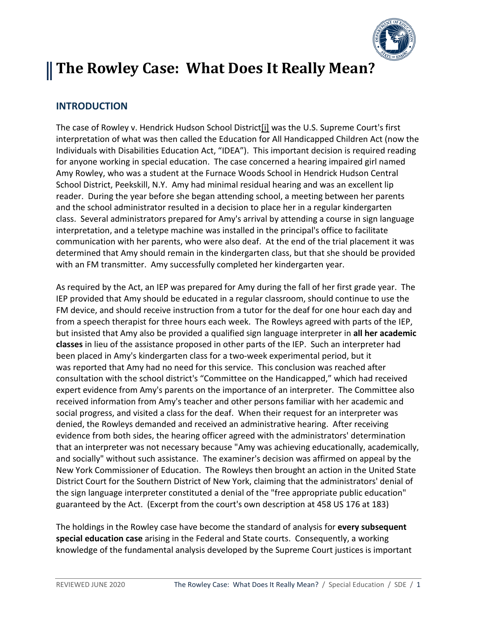

# **The Rowley Case: What Does It Really Mean?**

## **INTRODUCTION**

The case of Rowley v. Hendrick Hudson School District[i] was the U.S. Supreme Court's first interpretation of what was then called the Education for All Handicapped Children Act (now the Individuals with Disabilities Education Act, "IDEA"). This important decision is required reading for anyone working in special education. The case concerned a hearing impaired girl named Amy Rowley, who was a student at the Furnace Woods School in Hendrick Hudson Central School District, Peekskill, N.Y. Amy had minimal residual hearing and was an excellent lip reader. During the year before she began attending school, a meeting between her parents and the school administrator resulted in a decision to place her in a regular kindergarten class. Several administrators prepared for Amy's arrival by attending a course in sign language interpretation, and a teletype machine was installed in the principal's office to facilitate communication with her parents, who were also deaf. At the end of the trial placement it was determined that Amy should remain in the kindergarten class, but that she should be provided with an FM transmitter. Amy successfully completed her kindergarten year.

As required by the Act, an IEP was prepared for Amy during the fall of her first grade year. The IEP provided that Amy should be educated in a regular classroom, should continue to use the FM device, and should receive instruction from a tutor for the deaf for one hour each day and from a speech therapist for three hours each week. The Rowleys agreed with parts of the IEP, but insisted that Amy also be provided a qualified sign language interpreter in **all her academic classes** in lieu of the assistance proposed in other parts of the IEP. Such an interpreter had been placed in Amy's kindergarten class for a two-week experimental period, but it was reported that Amy had no need for this service. This conclusion was reached after consultation with the school district's "Committee on the Handicapped," which had received expert evidence from Amy's parents on the importance of an interpreter. The Committee also received information from Amy's teacher and other persons familiar with her academic and social progress, and visited a class for the deaf. When their request for an interpreter was denied, the Rowleys demanded and received an administrative hearing. After receiving evidence from both sides, the hearing officer agreed with the administrators' determination that an interpreter was not necessary because "Amy was achieving educationally, academically, and socially" without such assistance. The examiner's decision was affirmed on appeal by the New York Commissioner of Education. The Rowleys then brought an action in the United State District Court for the Southern District of New York, claiming that the administrators' denial of the sign language interpreter constituted a denial of the "free appropriate public education" guaranteed by the Act. (Excerpt from the court's own description at 458 US 176 at 183)

The holdings in the Rowley case have become the standard of analysis for **every subsequent special education case** arising in the Federal and State courts. Consequently, a working knowledge of the fundamental analysis developed by the Supreme Court justices is important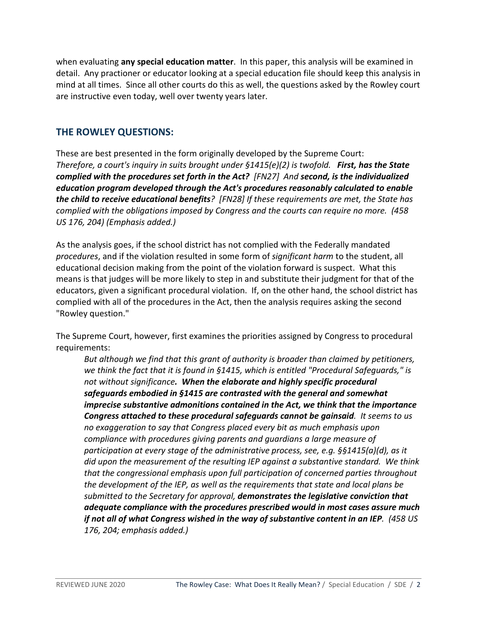when evaluating **any special education matter**. In this paper, this analysis will be examined in detail. Any practioner or educator looking at a special education file should keep this analysis in mind at all times. Since all other courts do this as well, the questions asked by the Rowley court are instructive even today, well over twenty years later.

## **THE ROWLEY QUESTIONS:**

These are best presented in the form originally developed by the Supreme Court: *Therefore, a court's inquiry in suits brought under §1415(e)(2) is twofold. First, has the State complied with the procedures set forth in the Act? [FN27] And second, is the individualized education program developed through the Act's procedures reasonably calculated to enable the child to receive educational benefits? [FN28] If these requirements are met, the State has complied with the obligations imposed by Congress and the courts can require no more. (458 US 176, 204) (Emphasis added.)*

As the analysis goes, if the school district has not complied with the Federally mandated *procedures*, and if the violation resulted in some form of *significant harm* to the student, all educational decision making from the point of the violation forward is suspect. What this means is that judges will be more likely to step in and substitute their judgment for that of the educators, given a significant procedural violation. If, on the other hand, the school district has complied with all of the procedures in the Act, then the analysis requires asking the second "Rowley question."

The Supreme Court, however, first examines the priorities assigned by Congress to procedural requirements:

*But although we find that this grant of authority is broader than claimed by petitioners, we think the fact that it is found in §1415, which is entitled "Procedural Safeguards," is not without significance. When the elaborate and highly specific procedural safeguards embodied in §1415 are contrasted with the general and somewhat imprecise substantive admonitions contained in the Act, we think that the importance Congress attached to these procedural safeguards cannot be gainsaid. It seems to us no exaggeration to say that Congress placed every bit as much emphasis upon compliance with procedures giving parents and guardians a large measure of participation at every stage of the administrative process, see, e.g. §§1415(a)(d), as it did upon the measurement of the resulting IEP against a substantive standard. We think that the congressional emphasis upon full participation of concerned parties throughout the development of the IEP, as well as the requirements that state and local plans be submitted to the Secretary for approval, demonstrates the legislative conviction that adequate compliance with the procedures prescribed would in most cases assure much if not all of what Congress wished in the way of substantive content in an IEP. (458 US 176, 204; emphasis added.)*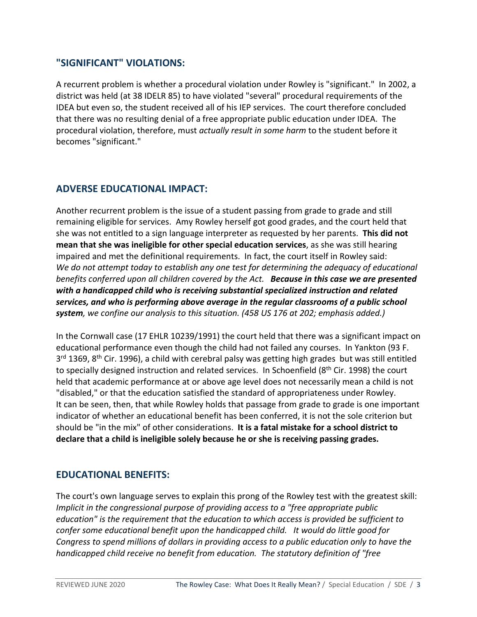## **"SIGNIFICANT" VIOLATIONS:**

A recurrent problem is whether a procedural violation under Rowley is "significant." In 2002, a district was held (at 38 IDELR 85) to have violated "several" procedural requirements of the IDEA but even so, the student received all of his IEP services. The court therefore concluded that there was no resulting denial of a free appropriate public education under IDEA. The procedural violation, therefore, must *actually result in some harm* to the student before it becomes "significant."

## **ADVERSE EDUCATIONAL IMPACT:**

Another recurrent problem is the issue of a student passing from grade to grade and still remaining eligible for services. Amy Rowley herself got good grades, and the court held that she was not entitled to a sign language interpreter as requested by her parents. **This did not mean that she was ineligible for other special education services**, as she was still hearing impaired and met the definitional requirements. In fact, the court itself in Rowley said: *We do not attempt today to establish any one test for determining the adequacy of educational benefits conferred upon all children covered by the Act. Because in this case we are presented with a handicapped child who is receiving substantial specialized instruction and related services, and who is performing above average in the regular classrooms of a public school system, we confine our analysis to this situation. (458 US 176 at 202; emphasis added.)*

In the Cornwall case (17 EHLR 10239/1991) the court held that there was a significant impact on educational performance even though the child had not failed any courses. In Yankton (93 F.  $3<sup>rd</sup>$  1369, 8<sup>th</sup> Cir. 1996), a child with cerebral palsy was getting high grades but was still entitled to specially designed instruction and related services. In Schoenfield (8<sup>th</sup> Cir. 1998) the court held that academic performance at or above age level does not necessarily mean a child is not "disabled," or that the education satisfied the standard of appropriateness under Rowley. It can be seen, then, that while Rowley holds that passage from grade to grade is one important indicator of whether an educational benefit has been conferred, it is not the sole criterion but should be "in the mix" of other considerations. **It is a fatal mistake for a school district to declare that a child is ineligible solely because he or she is receiving passing grades.**

#### **EDUCATIONAL BENEFITS:**

The court's own language serves to explain this prong of the Rowley test with the greatest skill: *Implicit in the congressional purpose of providing access to a "free appropriate public education" is the requirement that the education to which access is provided be sufficient to confer some educational benefit upon the handicapped child. It would do little good for Congress to spend millions of dollars in providing access to a public education only to have the handicapped child receive no benefit from education. The statutory definition of "free*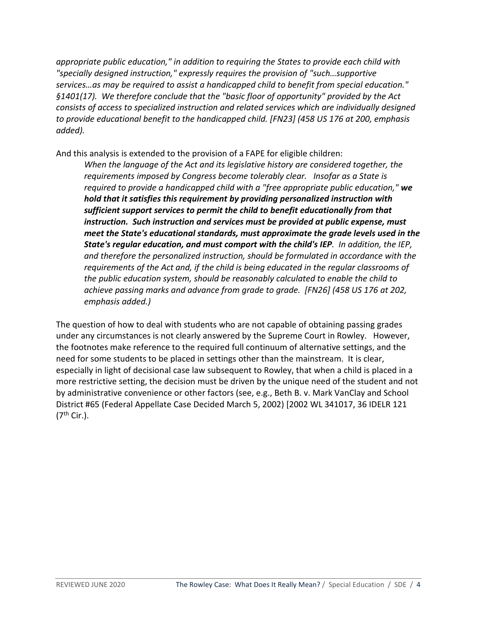*appropriate public education," in addition to requiring the States to provide each child with "specially designed instruction," expressly requires the provision of "such…supportive services…as may be required to assist a handicapped child to benefit from special education." §1401(17). We therefore conclude that the "basic floor of opportunity" provided by the Act consists of access to specialized instruction and related services which are individually designed to provide educational benefit to the handicapped child. [FN23] (458 US 176 at 200, emphasis added).*

And this analysis is extended to the provision of a FAPE for eligible children:

*When the language of the Act and its legislative history are considered together, the requirements imposed by Congress become tolerably clear. Insofar as a State is required to provide a handicapped child with a "free appropriate public education," we hold that it satisfies this requirement by providing personalized instruction with sufficient support services to permit the child to benefit educationally from that instruction. Such instruction and services must be provided at public expense, must meet the State's educational standards, must approximate the grade levels used in the State's regular education, and must comport with the child's IEP. In addition, the IEP, and therefore the personalized instruction, should be formulated in accordance with the requirements of the Act and, if the child is being educated in the regular classrooms of the public education system, should be reasonably calculated to enable the child to achieve passing marks and advance from grade to grade. [FN26] (458 US 176 at 202, emphasis added.)*

The question of how to deal with students who are not capable of obtaining passing grades under any circumstances is not clearly answered by the Supreme Court in Rowley. However, the footnotes make reference to the required full continuum of alternative settings, and the need for some students to be placed in settings other than the mainstream. It is clear, especially in light of decisional case law subsequent to Rowley, that when a child is placed in a more restrictive setting, the decision must be driven by the unique need of the student and not by administrative convenience or other factors (see, e.g., Beth B. v. Mark VanClay and School District #65 (Federal Appellate Case Decided March 5, 2002) [2002 WL 341017, 36 IDELR 121  $(7<sup>th</sup> Cir.).$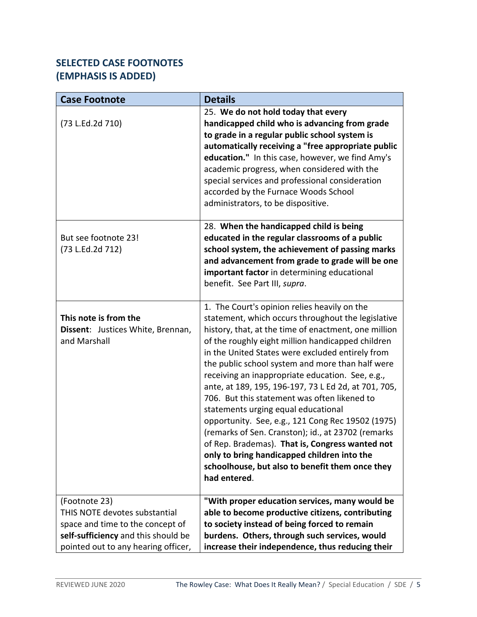## **SELECTED CASE FOOTNOTES (EMPHASIS IS ADDED)**

| <b>Case Footnote</b>                                                       | <b>Details</b>                                                                                                                                                                                                                                                                                                                                                                                                                                                                                                                                                                                                                                                                                                                                                                                             |
|----------------------------------------------------------------------------|------------------------------------------------------------------------------------------------------------------------------------------------------------------------------------------------------------------------------------------------------------------------------------------------------------------------------------------------------------------------------------------------------------------------------------------------------------------------------------------------------------------------------------------------------------------------------------------------------------------------------------------------------------------------------------------------------------------------------------------------------------------------------------------------------------|
| (73 L.Ed.2d 710)                                                           | 25. We do not hold today that every<br>handicapped child who is advancing from grade<br>to grade in a regular public school system is<br>automatically receiving a "free appropriate public<br>education." In this case, however, we find Amy's<br>academic progress, when considered with the<br>special services and professional consideration<br>accorded by the Furnace Woods School<br>administrators, to be dispositive.                                                                                                                                                                                                                                                                                                                                                                            |
| But see footnote 23!<br>(73 L.Ed.2d 712)                                   | 28. When the handicapped child is being<br>educated in the regular classrooms of a public<br>school system, the achievement of passing marks<br>and advancement from grade to grade will be one<br>important factor in determining educational<br>benefit. See Part III, supra.                                                                                                                                                                                                                                                                                                                                                                                                                                                                                                                            |
| This note is from the<br>Dissent: Justices White, Brennan,<br>and Marshall | 1. The Court's opinion relies heavily on the<br>statement, which occurs throughout the legislative<br>history, that, at the time of enactment, one million<br>of the roughly eight million handicapped children<br>in the United States were excluded entirely from<br>the public school system and more than half were<br>receiving an inappropriate education. See, e.g.,<br>ante, at 189, 195, 196-197, 73 L Ed 2d, at 701, 705,<br>706. But this statement was often likened to<br>statements urging equal educational<br>opportunity. See, e.g., 121 Cong Rec 19502 (1975)<br>(remarks of Sen. Cranston); id., at 23702 (remarks<br>of Rep. Brademas). That is, Congress wanted not<br>only to bring handicapped children into the<br>schoolhouse, but also to benefit them once they<br>had entered. |
| (Footnote 23)<br>THIS NOTE devotes substantial                             | "With proper education services, many would be<br>able to become productive citizens, contributing                                                                                                                                                                                                                                                                                                                                                                                                                                                                                                                                                                                                                                                                                                         |
| space and time to the concept of                                           | to society instead of being forced to remain                                                                                                                                                                                                                                                                                                                                                                                                                                                                                                                                                                                                                                                                                                                                                               |
| self-sufficiency and this should be                                        | burdens. Others, through such services, would                                                                                                                                                                                                                                                                                                                                                                                                                                                                                                                                                                                                                                                                                                                                                              |
| pointed out to any hearing officer,                                        | increase their independence, thus reducing their                                                                                                                                                                                                                                                                                                                                                                                                                                                                                                                                                                                                                                                                                                                                                           |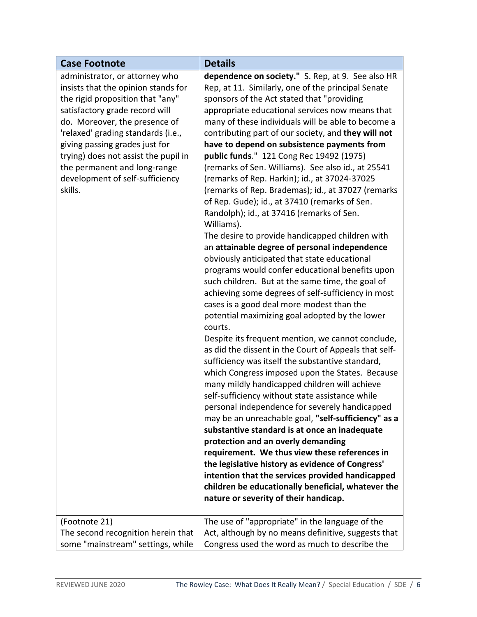| <b>Case Footnote</b>                 | <b>Details</b>                                                                                    |
|--------------------------------------|---------------------------------------------------------------------------------------------------|
| administrator, or attorney who       | dependence on society." S. Rep, at 9. See also HR                                                 |
| insists that the opinion stands for  | Rep, at 11. Similarly, one of the principal Senate                                                |
| the rigid proposition that "any"     | sponsors of the Act stated that "providing                                                        |
| satisfactory grade record will       | appropriate educational services now means that                                                   |
| do. Moreover, the presence of        | many of these individuals will be able to become a                                                |
| 'relaxed' grading standards (i.e.,   | contributing part of our society, and they will not                                               |
| giving passing grades just for       | have to depend on subsistence payments from                                                       |
| trying) does not assist the pupil in | public funds." 121 Cong Rec 19492 (1975)                                                          |
| the permanent and long-range         | (remarks of Sen. Williams). See also id., at 25541                                                |
| development of self-sufficiency      | (remarks of Rep. Harkin); id., at 37024-37025                                                     |
| skills.                              | (remarks of Rep. Brademas); id., at 37027 (remarks                                                |
|                                      | of Rep. Gude); id., at 37410 (remarks of Sen.                                                     |
|                                      | Randolph); id., at 37416 (remarks of Sen.                                                         |
|                                      | Williams).                                                                                        |
|                                      | The desire to provide handicapped children with                                                   |
|                                      | an attainable degree of personal independence                                                     |
|                                      | obviously anticipated that state educational                                                      |
|                                      | programs would confer educational benefits upon                                                   |
|                                      | such children. But at the same time, the goal of                                                  |
|                                      | achieving some degrees of self-sufficiency in most                                                |
|                                      | cases is a good deal more modest than the                                                         |
|                                      | potential maximizing goal adopted by the lower                                                    |
|                                      | courts.                                                                                           |
|                                      | Despite its frequent mention, we cannot conclude,                                                 |
|                                      | as did the dissent in the Court of Appeals that self-                                             |
|                                      | sufficiency was itself the substantive standard,                                                  |
|                                      | which Congress imposed upon the States. Because                                                   |
|                                      | many mildly handicapped children will achieve                                                     |
|                                      | self-sufficiency without state assistance while                                                   |
|                                      | personal independence for severely handicapped                                                    |
|                                      | may be an unreachable goal, "self-sufficiency" as a                                               |
|                                      | substantive standard is at once an inadequate                                                     |
|                                      | protection and an overly demanding                                                                |
|                                      | requirement. We thus view these references in<br>the legislative history as evidence of Congress' |
|                                      | intention that the services provided handicapped                                                  |
|                                      | children be educationally beneficial, whatever the                                                |
|                                      | nature or severity of their handicap.                                                             |
|                                      |                                                                                                   |
| (Footnote 21)                        | The use of "appropriate" in the language of the                                                   |
| The second recognition herein that   | Act, although by no means definitive, suggests that                                               |
| some "mainstream" settings, while    | Congress used the word as much to describe the                                                    |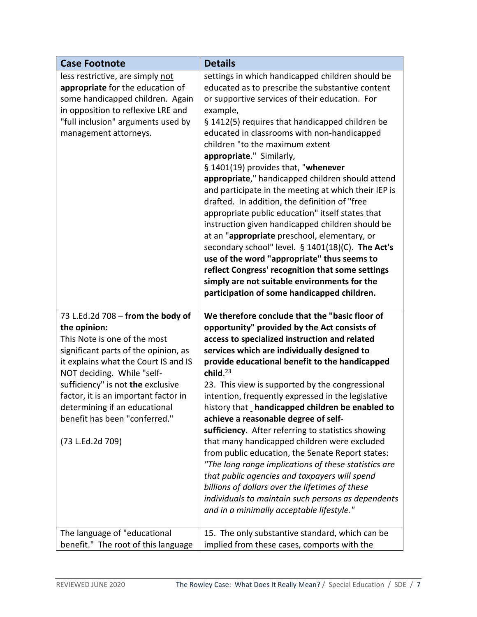| <b>Case Footnote</b>                                                                                                                                                                                                                                                                                                                                               | <b>Details</b>                                                                                                                                                                                                                                                                                                                                                                                                                                                                                                                                                                                                                                                                                                                                                                                                                                                                                                                                         |
|--------------------------------------------------------------------------------------------------------------------------------------------------------------------------------------------------------------------------------------------------------------------------------------------------------------------------------------------------------------------|--------------------------------------------------------------------------------------------------------------------------------------------------------------------------------------------------------------------------------------------------------------------------------------------------------------------------------------------------------------------------------------------------------------------------------------------------------------------------------------------------------------------------------------------------------------------------------------------------------------------------------------------------------------------------------------------------------------------------------------------------------------------------------------------------------------------------------------------------------------------------------------------------------------------------------------------------------|
| less restrictive, are simply not<br>appropriate for the education of<br>some handicapped children. Again<br>in opposition to reflexive LRE and<br>"full inclusion" arguments used by<br>management attorneys.                                                                                                                                                      | settings in which handicapped children should be<br>educated as to prescribe the substantive content<br>or supportive services of their education. For<br>example,<br>§ 1412(5) requires that handicapped children be<br>educated in classrooms with non-handicapped<br>children "to the maximum extent<br>appropriate." Similarly,<br>§ 1401(19) provides that, "whenever<br>appropriate," handicapped children should attend<br>and participate in the meeting at which their IEP is<br>drafted. In addition, the definition of "free<br>appropriate public education" itself states that<br>instruction given handicapped children should be<br>at an "appropriate preschool, elementary, or<br>secondary school" level. § 1401(18)(C). The Act's<br>use of the word "appropriate" thus seems to<br>reflect Congress' recognition that some settings<br>simply are not suitable environments for the<br>participation of some handicapped children. |
| 73 L.Ed.2d 708 - from the body of<br>the opinion:<br>This Note is one of the most<br>significant parts of the opinion, as<br>it explains what the Court IS and IS<br>NOT deciding. While "self-<br>sufficiency" is not the exclusive<br>factor, it is an important factor in<br>determining if an educational<br>benefit has been "conferred."<br>(73 L.Ed.2d 709) | We therefore conclude that the "basic floor of<br>opportunity" provided by the Act consists of<br>access to specialized instruction and related<br>services which are individually designed to<br>provide educational benefit to the handicapped<br>child. $^{23}$<br>23. This view is supported by the congressional<br>intention, frequently expressed in the legislative<br>history that handicapped children be enabled to<br>achieve a reasonable degree of self-<br>sufficiency. After referring to statistics showing<br>that many handicapped children were excluded<br>from public education, the Senate Report states:<br>"The long range implications of these statistics are<br>that public agencies and taxpayers will spend<br>billions of dollars over the lifetimes of these<br>individuals to maintain such persons as dependents<br>and in a minimally acceptable lifestyle."                                                        |
| The language of "educational<br>benefit." The root of this language                                                                                                                                                                                                                                                                                                | 15. The only substantive standard, which can be<br>implied from these cases, comports with the                                                                                                                                                                                                                                                                                                                                                                                                                                                                                                                                                                                                                                                                                                                                                                                                                                                         |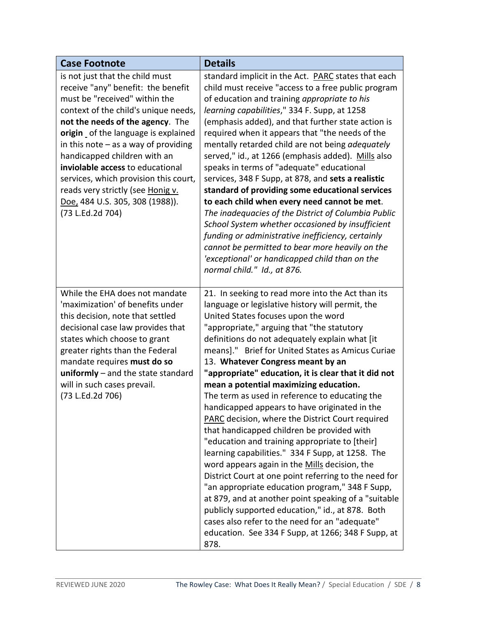| <b>Case Footnote</b>                                                                                                                                                                                                                                                                                                                                                                                                                                                         | <b>Details</b>                                                                                                                                                                                                                                                                                                                                                                                                                                                                                                                                                                                                                                                                                                                                                                                                                                                                                                                                                                                                                                                                                                                                      |
|------------------------------------------------------------------------------------------------------------------------------------------------------------------------------------------------------------------------------------------------------------------------------------------------------------------------------------------------------------------------------------------------------------------------------------------------------------------------------|-----------------------------------------------------------------------------------------------------------------------------------------------------------------------------------------------------------------------------------------------------------------------------------------------------------------------------------------------------------------------------------------------------------------------------------------------------------------------------------------------------------------------------------------------------------------------------------------------------------------------------------------------------------------------------------------------------------------------------------------------------------------------------------------------------------------------------------------------------------------------------------------------------------------------------------------------------------------------------------------------------------------------------------------------------------------------------------------------------------------------------------------------------|
| is not just that the child must<br>receive "any" benefit: the benefit<br>must be "received" within the<br>context of the child's unique needs,<br>not the needs of the agency. The<br>origin of the language is explained<br>in this note $-$ as a way of providing<br>handicapped children with an<br>inviolable access to educational<br>services, which provision this court,<br>reads very strictly (see Honig v.<br>Doe, 484 U.S. 305, 308 (1988)).<br>(73 L.Ed.2d 704) | standard implicit in the Act. PARC states that each<br>child must receive "access to a free public program<br>of education and training appropriate to his<br>learning capabilities," 334 F. Supp, at 1258<br>(emphasis added), and that further state action is<br>required when it appears that "the needs of the<br>mentally retarded child are not being adequately<br>served," id., at 1266 (emphasis added). Mills also<br>speaks in terms of "adequate" educational<br>services, 348 F Supp, at 878, and sets a realistic<br>standard of providing some educational services<br>to each child when every need cannot be met.<br>The inadequacies of the District of Columbia Public<br>School System whether occasioned by insufficient<br>funding or administrative inefficiency, certainly<br>cannot be permitted to bear more heavily on the<br>'exceptional' or handicapped child than on the<br>normal child." Id., at 876.                                                                                                                                                                                                             |
| While the EHA does not mandate<br>'maximization' of benefits under<br>this decision, note that settled<br>decisional case law provides that<br>states which choose to grant<br>greater rights than the Federal<br>mandate requires must do so<br>$uniformly$ – and the state standard<br>will in such cases prevail.<br>(73 L.Ed.2d 706)                                                                                                                                     | 21. In seeking to read more into the Act than its<br>language or legislative history will permit, the<br>United States focuses upon the word<br>"appropriate," arguing that "the statutory<br>definitions do not adequately explain what [it<br>means]." Brief for United States as Amicus Curiae<br>13. Whatever Congress meant by an<br>"appropriate" education, it is clear that it did not<br>mean a potential maximizing education.<br>The term as used in reference to educating the<br>handicapped appears to have originated in the<br><b>PARC</b> decision, where the District Court required<br>that handicapped children be provided with<br>"education and training appropriate to [their]<br>learning capabilities." 334 F Supp, at 1258. The<br>word appears again in the Mills decision, the<br>District Court at one point referring to the need for<br>"an appropriate education program," 348 F Supp,<br>at 879, and at another point speaking of a "suitable<br>publicly supported education," id., at 878. Both<br>cases also refer to the need for an "adequate"<br>education. See 334 F Supp, at 1266; 348 F Supp, at<br>878. |